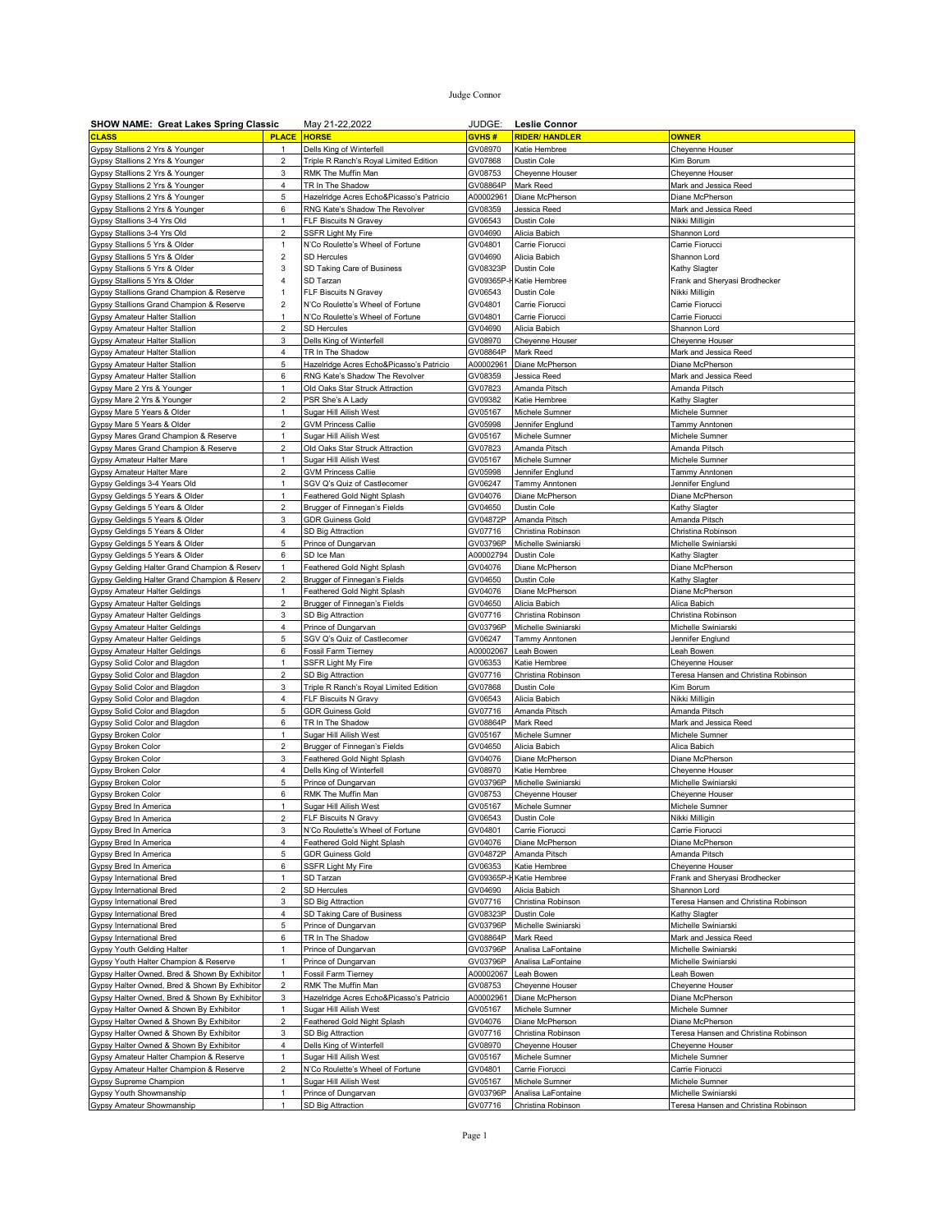| JUDGE:<br><b>SHOW NAME: Great Lakes Spring Classic</b><br>May 21-22,2022<br>Leslie Connor |                                |                                                                    |                      |                                                |                                        |
|-------------------------------------------------------------------------------------------|--------------------------------|--------------------------------------------------------------------|----------------------|------------------------------------------------|----------------------------------------|
| <b>CLASS</b>                                                                              | <b>PLACE</b>                   | <b>HORSE</b>                                                       | <b>GVHS#</b>         | <b>RIDER/ HANDLER</b>                          | <b>OWNER</b>                           |
| Gypsy Stallions 2 Yrs & Younger                                                           | 1                              | Dells King of Winterfell                                           | GV08970              | Katie Hembree                                  | Cheyenne Houser                        |
| Gypsy Stallions 2 Yrs & Younger                                                           | $\overline{2}$                 | Triple R Ranch's Royal Limited Edition                             | GV07868              | Dustin Cole                                    | Kim Borum                              |
| Gypsy Stallions 2 Yrs & Younger                                                           | 3                              | RMK The Muffin Man                                                 | GV08753              | Cheyenne Houser                                | Cheyenne Houser                        |
| Gypsy Stallions 2 Yrs & Younger                                                           | 4                              | TR In The Shadow                                                   | GV08864P             | Mark Reed                                      | Mark and Jessica Reed                  |
| Gypsy Stallions 2 Yrs & Younger                                                           | 5                              | Hazelridge Acres Echo&Picasso's Patricio                           | A00002961            | Diane McPherson                                | Diane McPherson                        |
| Gypsy Stallions 2 Yrs & Younger                                                           | 6                              | RNG Kate's Shadow The Revolver                                     | GV08359              | Jessica Reed                                   | Mark and Jessica Reed                  |
| Gypsy Stallions 3-4 Yrs Old                                                               | $\mathbf{1}$                   | FLF Biscuits N Gravey                                              | GV06543              | Dustin Cole                                    | Nikki Milligin                         |
| Gypsy Stallions 3-4 Yrs Old                                                               | $\overline{\mathbf{c}}$        | SSFR Light My Fire                                                 | GV04690              | Alicia Babich                                  | Shannon Lord                           |
| Gypsy Stallions 5 Yrs & Older                                                             | $\mathbf{1}$                   | N'Co Roulette's Wheel of Fortune                                   | GV04801              | Carrie Fiorucci                                | Carrie Fiorucci                        |
| Gypsy Stallions 5 Yrs & Older                                                             | 2                              | SD Hercules                                                        | GV04690              | Alicia Babich                                  | Shannon Lord                           |
| Gypsy Stallions 5 Yrs & Older                                                             | 3                              | SD Taking Care of Business                                         | GV08323P             | Dustin Cole                                    | Kathy Slagter                          |
| Gypsy Stallions 5 Yrs & Older                                                             | 4                              | SD Tarzan                                                          | GV09365P-ł           | Katie Hembree                                  | Frank and Sheryasi Brodhecker          |
| Gypsy Stallions Grand Champion & Reserve                                                  | 1                              | FLF Biscuits N Gravey                                              | GV06543              | Dustin Cole                                    | Nikki Milligin                         |
| Gypsy Stallions Grand Champion & Reserve                                                  | $\overline{c}$<br>1            | N'Co Roulette's Wheel of Fortune                                   | GV04801<br>GV04801   | Carrie Fiorucci                                | Carrie Fiorucci                        |
| Gypsy Amateur Halter Stallion<br>Gypsy Amateur Halter Stallion                            | $\overline{2}$                 | N'Co Roulette's Wheel of Fortune<br><b>SD Hercules</b>             | GV04690              | Carrie Fiorucci<br>Alicia Babich               | Carrie Fiorucci<br>Shannon Lord        |
| Gypsy Amateur Halter Stallion                                                             | 3                              | Dells King of Winterfell                                           | GV08970              | Cheyenne Houser                                | Cheyenne Houser                        |
| Gypsy Amateur Halter Stallion                                                             | 4                              | TR In The Shadow                                                   | GV08864P             | Mark Reed                                      | Mark and Jessica Reed                  |
| Gypsy Amateur Halter Stallion                                                             | 5                              | Hazelridge Acres Echo&Picasso's Patricio                           | A00002961            | Diane McPherson                                | Diane McPherson                        |
| Gypsy Amateur Halter Stallion                                                             | 6                              | RNG Kate's Shadow The Revolver                                     | GV08359              | Jessica Reed                                   | Mark and Jessica Reed                  |
| Gypsy Mare 2 Yrs & Younger                                                                | $\mathbf{1}$                   | Old Oaks Star Struck Attraction                                    | GV07823              | Amanda Pitsch                                  | Amanda Pitsch                          |
| Gypsy Mare 2 Yrs & Younger                                                                | 2                              | PSR She's A Lady                                                   | GV09382              | Katie Hembree                                  | Kathy Slagter                          |
| Gypsy Mare 5 Years & Older                                                                | $\mathbf{1}$                   | Sugar Hill Ailish West                                             | GV05167              | Michele Sumner                                 | Michele Sumner                         |
| Gypsy Mare 5 Years & Older                                                                | $\overline{c}$                 | <b>GVM Princess Callie</b>                                         | GV05998              | Jennifer Englund                               | Tammy Anntonen                         |
| Gypsy Mares Grand Champion & Reserve                                                      | $\mathbf{1}$                   | Sugar Hill Ailish West                                             | GV05167              | Michele Sumner                                 | Michele Sumner                         |
| Gypsy Mares Grand Champion & Reserve                                                      | $\overline{c}$                 | Old Oaks Star Struck Attraction                                    | GV07823              | Amanda Pitsch                                  | Amanda Pitsch                          |
| Gypsy Amateur Halter Mare                                                                 | 1                              | Sugar Hill Ailish West                                             | GV05167              | Michele Sumner                                 | Michele Sumner                         |
| Gypsy Amateur Halter Mare                                                                 | $\overline{c}$                 | <b>GVM Princess Callie</b>                                         | GV05998              | Jennifer Englund                               | Tammy Anntonen                         |
| Gypsy Geldings 3-4 Years Old                                                              | $\mathbf{1}$                   | SGV Q's Quiz of Castlecomer                                        | GV06247              | Tammy Anntonen                                 | Jennifer Englund                       |
| Gypsy Geldings 5 Years & Older                                                            | $\mathbf{1}$                   | Feathered Gold Night Splash                                        | GV04076              | Diane McPherson                                | Diane McPherson                        |
| Gypsy Geldings 5 Years & Older                                                            | $\overline{c}$                 | Brugger of Finnegan's Fields                                       | GV04650              | Dustin Cole                                    | Kathy Slagter                          |
| Gypsy Geldings 5 Years & Older                                                            | 3                              | GDR Guiness Gold                                                   | GV04872P             | Amanda Pitsch                                  | Amanda Pitsch                          |
| Gypsy Geldings 5 Years & Older                                                            | 4                              | SD Big Attraction                                                  | GV07716              | Christina Robinson                             | Christina Robinson                     |
| Gypsy Geldings 5 Years & Older                                                            | 5                              | Prince of Dungarvan                                                | GV03796P             | Michelle Swiniarski                            | Michelle Swiniarski                    |
| Gypsy Geldings 5 Years & Older                                                            | 6                              | SD Ice Man                                                         | 400002794            | Dustin Cole                                    | Kathy Slagter                          |
| Gypsy Gelding Halter Grand Champion & Reserv                                              | 1<br>$\overline{2}$            | Feathered Gold Night Splash                                        | GV04076              | Diane McPherson                                | Diane McPherson                        |
| Gypsy Gelding Halter Grand Champion & Reserv<br>Gypsy Amateur Halter Geldings             | 1                              | Brugger of Finnegan's Fields<br>Feathered Gold Night Splash        | GV04650<br>GV04076   | Dustin Cole<br>Diane McPherson                 | Kathy Slagter<br>Diane McPherson       |
| Gypsy Amateur Halter Geldings                                                             | $\overline{c}$                 | Brugger of Finnegan's Fields                                       | GV04650              | Alicia Babich                                  | Alica Babich                           |
| Gypsy Amateur Halter Geldings                                                             | 3                              | SD Big Attraction                                                  | GV07716              | Christina Robinson                             | Christina Robinson                     |
| <b>Gypsy Amateur Halter Geldings</b>                                                      | 4                              | Prince of Dungarvan                                                | GV03796P             | Michelle Swiniarski                            | Michelle Swiniarski                    |
| Gypsy Amateur Halter Geldings                                                             | 5                              | SGV Q's Quiz of Castlecomer                                        | GV06247              | Tammy Anntonen                                 | Jennifer Englund                       |
| <b>Gypsy Amateur Halter Geldings</b>                                                      | 6                              | Fossil Farm Tierney                                                | A00002067            | Leah Bowen                                     | Leah Bowen                             |
| Gypsy Solid Color and Blagdon                                                             | $\mathbf{1}$                   | SSFR Light My Fire                                                 | GV06353              | Katie Hembree                                  | Cheyenne Houser                        |
| Gypsy Solid Color and Blagdon                                                             | $\overline{2}$                 | SD Big Attraction                                                  | GV07716              | Christina Robinson                             | Teresa Hansen and Christina Robinson   |
| Gypsy Solid Color and Blagdon                                                             | 3                              | Triple R Ranch's Royal Limited Edition                             | GV07868              | Dustin Cole                                    | Kim Borum                              |
| Gypsy Solid Color and Blagdon                                                             | 4                              | FLF Biscuits N Gravy                                               | GV06543              | Alicia Babich                                  | Nikki Milligin                         |
| Gypsy Solid Color and Blagdon                                                             | 5                              | GDR Guiness Gold                                                   | GV07716              | Amanda Pitsch                                  | Amanda Pitsch                          |
| Gypsy Solid Color and Blagdon                                                             | 6                              | TR In The Shadow                                                   | GV08864P             | Mark Reed                                      | Mark and Jessica Reed                  |
| Gypsy Broken Color                                                                        | $\mathbf{1}$                   | Sugar Hill Ailish West                                             | GV05167              | Michele Sumner                                 | Michele Sumner                         |
| Gypsy Broken Color                                                                        | $\overline{2}$                 | Brugger of Finnegan's Fields                                       | GV04650              | Alicia Babich                                  | Alica Babich                           |
| Gypsy Broken Color                                                                        | 3<br>4                         | Feathered Gold Night Splash                                        | GV04076              | Diane McPherson                                | Diane McPherson                        |
| Gypsy Broken Color<br>Gypsy Broken Color                                                  | 5                              | Dells King of Winterfell                                           | GV08970<br>GV03796P  | <atie hembree<br="">Michelle Swiniarski</atie> | Cheyenne Houser<br>Michelle Swiniarski |
| Gypsy Broken Color                                                                        | 6                              | Prince of Dungarvan<br>RMK The Muffin Man                          | GV08753              | Cheyenne Houser                                | Cheyenne Houser                        |
| Gypsy Bred In America                                                                     | 1                              | Sugar Hill Ailish West                                             | GV05167              | Michele Sumner                                 | Michele Sumner                         |
| Gypsy Bred In America                                                                     | 2                              | FLF Biscuits N Gravy                                               | GV06543              | Dustin Cole                                    | Nikki Milligin                         |
| Gypsy Bred In America                                                                     | 3                              | N'Co Roulette's Wheel of Fortune                                   | GV04801              | Carrie Fiorucci                                | Carrie Fiorucci                        |
| Gypsy Bred In America                                                                     | 4                              | Feathered Gold Night Splash                                        | GV04076              | Diane McPherson                                | Diane McPherson                        |
| Gypsy Bred In America                                                                     | 5                              | <b>GDR Guiness Gold</b>                                            | GV04872P             | Amanda Pitsch                                  | Amanda Pitsch                          |
| Gypsy Bred In America                                                                     | 6                              | SSFR Light My Fire                                                 | GV06353              | Katie Hembree                                  | Cheyenne Houser                        |
| Gypsy International Bred                                                                  | $\mathbf{1}$                   | SD Tarzan                                                          | GV09365P-ł           | Katie Hembree                                  | Frank and Sheryasi Brodhecker          |
| Gypsy International Bred                                                                  | $\overline{\mathbf{c}}$        | <b>SD Hercules</b>                                                 | GV04690              | Alicia Babich                                  | Shannon Lord                           |
| Gypsy International Bred                                                                  | 3                              | SD Big Attraction                                                  | GV07716              | Christina Robinson                             | Teresa Hansen and Christina Robinson   |
| Gypsy International Bred                                                                  | 4                              | SD Taking Care of Business                                         | GV08323P             | Dustin Cole                                    | Kathy Slagter                          |
| Gypsy International Bred                                                                  | 5                              | Prince of Dungarvan                                                | GV03796P             | Michelle Swiniarski                            | Michelle Swiniarski                    |
| <b>Gypsy International Bred</b>                                                           | 6                              | TR In The Shadow                                                   | GV08864P             | Mark Reed                                      | Mark and Jessica Reed                  |
| Gypsy Youth Gelding Halter                                                                | $\mathbf{1}$                   | Prince of Dungarvan                                                | GV03796P             | Analisa LaFontaine                             | Michelle Swiniarski                    |
| Gypsy Youth Halter Champion & Reserve                                                     | $\mathbf{1}$                   | Prince of Dungarvan                                                | GV03796P             | Analisa LaFontaine                             | Michelle Swiniarski                    |
| Gypsy Halter Owned, Bred & Shown By Exhibitor                                             | $\mathbf{1}$<br>$\overline{c}$ | Fossil Farm Tierney                                                | A00002067            | Leah Bowen                                     | Leah Bowen                             |
| Gypsy Halter Owned, Bred & Shown By Exhibitor                                             |                                | RMK The Muffin Man                                                 | GV08753              | Cheyenne Houser                                | Cheyenne Houser<br>Diane McPherson     |
| Gypsy Halter Owned, Bred & Shown By Exhibitor<br>Gypsy Halter Owned & Shown By Exhibitor  | 3<br>1                         | Hazelridge Acres Echo&Picasso's Patricio<br>Sugar Hill Ailish West | A00002961<br>GV05167 | Diane McPherson<br>Michele Sumner              | Michele Sumner                         |
| Gypsy Halter Owned & Shown By Exhibitor                                                   | 2                              | Feathered Gold Night Splash                                        | GV04076              | Diane McPherson                                | Diane McPherson                        |
| Gypsy Halter Owned & Shown By Exhibitor                                                   | 3                              | SD Big Attraction                                                  | GV07716              | Christina Robinson                             | Teresa Hansen and Christina Robinson   |
| Gypsy Halter Owned & Shown By Exhibitor                                                   | $\overline{4}$                 | Dells King of Winterfell                                           | GV08970              | Cheyenne Houser                                | Cheyenne Houser                        |
| Gypsy Amateur Halter Champion & Reserve                                                   | 1                              | Sugar Hill Ailish West                                             | GV05167              | Michele Sumner                                 | Michele Sumner                         |
| Gypsy Amateur Halter Champion & Reserve                                                   | $\overline{2}$                 | N'Co Roulette's Wheel of Fortune                                   | GV04801              | Carrie Fiorucci                                | Carrie Fiorucci                        |
| Gypsy Supreme Champion                                                                    | 1                              | Sugar Hill Ailish West                                             | GV05167              | Michele Sumner                                 | Michele Sumner                         |
| Gypsy Youth Showmanship                                                                   | $\mathbf{1}$                   | Prince of Dungarvan                                                | GV03796P             | Analisa LaFontaine                             | Michelle Swiniarski                    |
| Gypsy Amateur Showmanship                                                                 | 1                              | SD Big Attraction                                                  | GV07716              | Christina Robinson                             | Teresa Hansen and Christina Robinson   |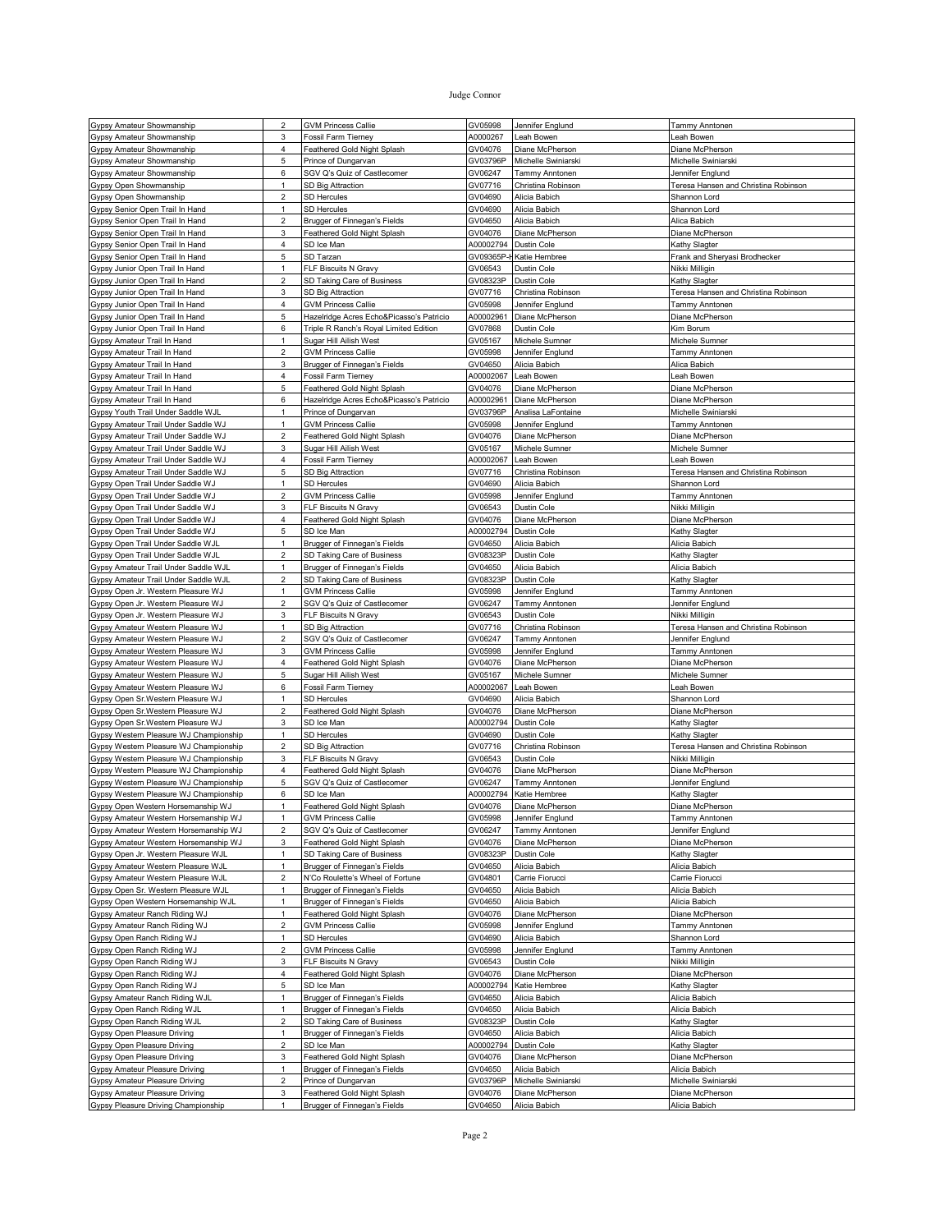| Gypsy Amateur Showmanship                                             | 2                 | <b>GVM Princess Callie</b>                                  | GV05998            | Jennifer Englund                 | Tammy Anntonen                       |
|-----------------------------------------------------------------------|-------------------|-------------------------------------------------------------|--------------------|----------------------------------|--------------------------------------|
| Gypsy Amateur Showmanship                                             | 3                 | <b>Fossil Farm Tierney</b>                                  | A0000267           | eah Bowen.                       | eah Bowen                            |
|                                                                       | 4                 |                                                             | GV04076            | Diane McPherson                  | Diane McPherson                      |
| Gypsy Amateur Showmanship                                             |                   | Feathered Gold Night Splash                                 |                    |                                  |                                      |
| Gypsy Amateur Showmanship                                             | 5                 | Prince of Dungarvan                                         | GV03796P           | Michelle Swiniarski              | Michelle Swiniarsk                   |
| Gypsy Amateur Showmanship                                             | 6                 | SGV Q's Quiz of Castlecomer                                 | GV06247            | Tammy Anntonen                   | Jennifer Englund                     |
| Gypsy Open Showmanship                                                | $\mathbf{1}$      | SD Big Attraction                                           | GV07716            | Christina Robinson               | Teresa Hansen and Christina Robinson |
|                                                                       |                   |                                                             |                    |                                  |                                      |
| Gypsy Open Showmanship                                                | $\overline{2}$    | <b>SD Hercules</b>                                          | GV04690            | Alicia Babich                    | Shannon Lord                         |
| Gypsy Senior Open Trail In Hand                                       | 1                 | <b>SD Hercules</b>                                          | GV04690            | Alicia Babich                    | Shannon Lord                         |
| Gypsy Senior Open Trail In Hand                                       | $\overline{2}$    | Brugger of Finnegan's Fields                                | GV04650            | Alicia Babich                    | Alica Babich                         |
|                                                                       |                   |                                                             |                    |                                  |                                      |
| Gypsy Senior Open Trail In Hand                                       | $\mathbf 3$       | Feathered Gold Night Splash                                 | GV04076            | Diane McPherson                  | Diane McPherson                      |
| Gypsy Senior Open Trail In Hand                                       | $\overline{4}$    | SD Ice Man                                                  | A00002794          | <b>Dustin Cole</b>               | Kathy Slagter                        |
| Gypsy Senior Open Trail In Hand                                       | 5                 | SD Tarzan                                                   |                    | GV09365P-H Katie Hembree         | Frank and Sheryasi Brodhecker        |
|                                                                       |                   |                                                             |                    |                                  |                                      |
| Gypsy Junior Open Trail In Hand                                       | $\mathbf{1}$      | FLF Biscuits N Gravy                                        | GV06543            | Dustin Cole                      | Nikki Milligin                       |
| Gypsy Junior Open Trail In Hand                                       | $\overline{2}$    | SD Taking Care of Business                                  | GV08323P           | Dustin Cole                      | Kathy Slagter                        |
| Gypsy Junior Open Trail In Hand                                       | 3                 | SD Big Attraction                                           | GV07716            | Christina Robinson               | Teresa Hansen and Christina Robinson |
|                                                                       |                   | <b>GVM Princess Callie</b>                                  | GV05998            | Jennifer Englund                 |                                      |
| Gypsy Junior Open Trail In Hand                                       | 4                 |                                                             |                    |                                  | Tammy Anntonen                       |
| Gypsy Junior Open Trail In Hand                                       | 5                 | Hazelridge Acres Echo&Picasso's Patricio                    | A00002961          | Diane McPherson                  | Diane McPherson                      |
| Gypsy Junior Open Trail In Hand                                       | 6                 | Triple R Ranch's Royal Limited Edition                      | GV07868            | Dustin Cole                      | Kim Borum                            |
| Gypsy Amateur Trail In Hand                                           | $\mathbf{1}$      | Sugar Hill Ailish West                                      | GV05167            | Michele Sumner                   | Michele Sumner                       |
|                                                                       |                   |                                                             |                    |                                  |                                      |
| Gypsy Amateur Trail In Hand                                           | $\overline{2}$    | <b>GVM Princess Callie</b>                                  | GV05998            | Jennifer Englund                 | Tammy Anntonen                       |
| Gypsy Amateur Trail In Hand                                           | 3                 | Brugger of Finnegan's Fields                                | GV04650            | Alicia Babich                    | Alica Babich                         |
| Gypsy Amateur Trail In Hand                                           | $\overline{4}$    | Fossil Farm Tierney                                         | A00002067          | Leah Bowen                       | eah Bowen.                           |
|                                                                       |                   |                                                             |                    |                                  |                                      |
| Gypsy Amateur Trail In Hand                                           | 5                 | Feathered Gold Night Splash                                 | GV04076            | Diane McPherson                  | Diane McPherson                      |
| Gypsy Amateur Trail In Hand                                           | 6                 | Hazelridge Acres Echo&Picasso's Patricio                    | A00002961          | Diane McPherson                  | Diane McPherson                      |
| Gypsy Youth Trail Under Saddle WJL                                    | 1                 | Prince of Dungarvan                                         | GV03796P           | Analisa LaFontaine               | Michelle Swiniarski                  |
|                                                                       |                   |                                                             |                    |                                  |                                      |
| Gypsy Amateur Trail Under Saddle WJ                                   | $\mathbf{1}$      | <b>GVM Princess Callie</b>                                  | GV05998            | Jennifer Englund                 | Tammy Anntonen                       |
| Gypsy Amateur Trail Under Saddle WJ                                   | $\overline{2}$    | Feathered Gold Night Splash                                 | GV04076            | Diane McPherson                  | Diane McPherson                      |
| Gypsy Amateur Trail Under Saddle WJ                                   | 3                 | Sugar Hill Ailish West                                      | GV05167            | Michele Sumner                   | Michele Sumner                       |
|                                                                       | 4                 |                                                             |                    |                                  |                                      |
| Gypsy Amateur Trail Under Saddle WJ                                   |                   | Fossil Farm Tierney                                         | A00002067          | Leah Bowen                       | Leah Bowen                           |
| Gypsy Amateur Trail Under Saddle WJ                                   | 5                 | SD Big Attraction                                           | GV07716            | Christina Robinson               | Teresa Hansen and Christina Robinson |
| Gypsy Open Trail Under Saddle WJ                                      | $\mathbf{1}$      | <b>SD Hercules</b>                                          | GV04690            | Alicia Babich                    | Shannon Lord                         |
| Gypsy Open Trail Under Saddle WJ                                      | $\overline{2}$    | <b>GVM Princess Callie</b>                                  |                    |                                  |                                      |
|                                                                       |                   |                                                             | GV05998            | Jennifer Englund                 | Tammy Anntonen                       |
| Gypsy Open Trail Under Saddle WJ                                      | 3                 | FLF Biscuits N Gravy                                        | GV06543            | Dustin Cole                      | Nikki Milligin                       |
| Gypsy Open Trail Under Saddle WJ                                      | 4                 | Feathered Gold Night Splash                                 | GV04076            | Diane McPherson                  | Diane McPherson                      |
|                                                                       |                   | SD Ice Man                                                  |                    |                                  |                                      |
| Gypsy Open Trail Under Saddle WJ                                      | 5                 |                                                             | A00002794          | Dustin Cole                      | Kathy Slagter                        |
| Gypsy Open Trail Under Saddle WJL                                     | $\mathbf{1}$      | Brugger of Finnegan's Fields                                | GV04650            | Alicia Babich                    | Alicia Babich                        |
| Gypsy Open Trail Under Saddle WJL                                     | $\overline{2}$    | SD Taking Care of Business                                  | GV08323P           | Dustin Cole                      | Kathy Slagter                        |
| Gypsy Amateur Trail Under Saddle WJL                                  | $\mathbf{1}$      |                                                             |                    |                                  |                                      |
|                                                                       |                   | Brugger of Finnegan's Fields                                | GV04650            | Alicia Babich                    | Alicia Babich                        |
| Gypsy Amateur Trail Under Saddle WJL                                  | $\overline{2}$    | SD Taking Care of Business                                  | GV08323P           | Dustin Cole                      | Kathy Slagter                        |
| Gypsy Open Jr. Western Pleasure WJ                                    | $\mathbf{1}$      | <b>GVM Princess Callie</b>                                  | GV05998            | Jennifer Englund                 | Tammy Anntonen                       |
| Gypsy Open Jr. Western Pleasure WJ                                    | $\overline{2}$    |                                                             | GV06247            |                                  |                                      |
|                                                                       |                   | SGV Q's Quiz of Castlecomer                                 |                    | Tammy Anntonen                   | Jennifer Englund                     |
| Gypsy Open Jr. Western Pleasure WJ                                    | 3                 | FLF Biscuits N Gravy                                        | GV06543            | Dustin Cole                      | Nikki Milligin                       |
|                                                                       |                   |                                                             |                    |                                  |                                      |
|                                                                       | $\mathbf{1}$      |                                                             |                    |                                  |                                      |
| Gypsy Amateur Western Pleasure WJ                                     |                   | SD Big Attraction                                           | GV07716            | Christina Robinson               | Teresa Hansen and Christina Robinson |
| Gypsy Amateur Western Pleasure WJ                                     | $\overline{c}$    | SGV Q's Quiz of Castlecomer                                 | GV06247            | Tammy Anntonen                   | Jennifer Englund                     |
| Gypsy Amateur Western Pleasure WJ                                     | 3                 | <b>GVM Princess Callie</b>                                  | GV05998            | Jennifer Englund                 | Tammy Anntonen                       |
|                                                                       |                   |                                                             |                    |                                  |                                      |
| Gypsy Amateur Western Pleasure WJ                                     | $\overline{4}$    | Feathered Gold Night Splash                                 | GV04076            | Diane McPherson                  | Diane McPherson                      |
| Gypsy Amateur Western Pleasure WJ                                     | 5                 | Sugar Hill Ailish West                                      | GV05167            | Michele Sumner                   | Michele Sumner                       |
| Gypsy Amateur Western Pleasure WJ                                     | 6                 | <b>Fossil Farm Tierney</b>                                  | A00002067          | Leah Bowen                       | Leah Bowen                           |
|                                                                       | 1                 | <b>SD Hercules</b>                                          | GV04690            | Alicia Babich                    | Shannon Lord                         |
| Gypsy Open Sr. Western Pleasure WJ                                    |                   |                                                             |                    |                                  |                                      |
| Gypsy Open Sr. Western Pleasure WJ                                    | $\overline{2}$    | Feathered Gold Night Splash                                 | GV04076            | Diane McPherson                  | Diane McPherson                      |
| Gypsy Open Sr. Western Pleasure WJ                                    | $\mathbf{3}$      | SD Ice Man                                                  | A00002794          | Dustin Cole                      | Kathy Slagter                        |
| Gypsy Western Pleasure WJ Championship                                | $\mathbf{1}$      | SD Hercules                                                 | GV04690            | Dustin Cole                      | Kathy Slagter                        |
|                                                                       |                   |                                                             |                    |                                  |                                      |
| Gypsy Western Pleasure WJ Championship                                | $\overline{c}$    | SD Big Attraction                                           | GV07716            | Christina Robinson               | Teresa Hansen and Christina Robinson |
| Gypsy Western Pleasure WJ Championship                                | 3                 | FLF Biscuits N Gravy                                        | GV06543            | Dustin Cole                      | Nikki Milligin                       |
| Gypsy Western Pleasure WJ Championship                                | 4                 | Feathered Gold Night Splash                                 | GV04076            | Diane McPherson                  | Diane McPherson                      |
| Gypsy Western Pleasure WJ Championship                                | 5                 | SGV Q's Quiz of Castlecomer                                 | GV06247            | Tammy Anntonen                   | Jennifer Englund                     |
|                                                                       |                   |                                                             |                    |                                  |                                      |
| Gypsy Western Pleasure WJ Championship                                | 6                 | SD Ice Man                                                  | A00002794          | Katie Hembree                    | Kathy Slagter                        |
| Gypsy Open Western Horsemanship WJ                                    | $\mathbf{1}$      | Feathered Gold Night Splash                                 | GV04076            | Diane McPherson                  | Diane McPherson                      |
| Gypsy Amateur Western Horsemanship WJ                                 | $\mathbf{1}$      | <b>GVM Princess Callie</b>                                  | GV05998            | Jennifer Englund                 | Tammy Anntonen                       |
| Gypsy Amateur Western Horsemanship WJ                                 |                   |                                                             |                    |                                  |                                      |
|                                                                       | $\sqrt{2}$        | SGV Q's Quiz of Castlecomer                                 | GV06247            | Tammy Anntonen                   | Jennifer Englund                     |
| Gypsy Amateur Western Horsemanship WJ                                 | 3                 | Feathered Gold Night Splash                                 | GV04076            | Diane McPherson                  | Diane McPherson                      |
| Gypsy Open Jr. Western Pleasure WJL                                   | $\mathbf{1}$      | SD Taking Care of Business                                  | GV08323P           | Dustin Cole                      | Kathy Slagter                        |
| Gypsy Amateur Western Pleasure WJL                                    | $\mathbf{1}$      | Brugger of Finnegan's Fields                                | GV04650            | Alicia Babich                    | Alicia Babich                        |
|                                                                       |                   |                                                             |                    |                                  |                                      |
| Gypsy Amateur Western Pleasure WJL                                    | $\overline{2}$    | N'Co Roulette's Wheel of Fortune                            | GV04801            | Carrie Fiorucci                  | Carrie Fiorucci                      |
| Gypsy Open Sr. Western Pleasure WJL                                   | $\mathbf{1}$      | Brugger of Finnegan's Fields                                | GV04650            | Alicia Babich                    | Alicia Babich                        |
| Gypsy Open Western Horsemanship WJL                                   | $\mathbf{1}$      | Brugger of Finnegan's Fields                                | GV04650            | Alicia Babich                    | Alicia Babich                        |
|                                                                       |                   |                                                             |                    |                                  |                                      |
| Gypsy Amateur Ranch Riding WJ                                         | $\mathbf{1}$      | Feathered Gold Night Splash                                 | GV04076            | Diane McPherson                  | Diane McPherson                      |
| Gypsy Amateur Ranch Riding WJ                                         | $\overline{2}$    | <b>GVM Princess Callie</b>                                  | GV05998            | Jennifer Englund                 | Tammy Anntonen                       |
| Gypsy Open Ranch Riding WJ                                            | $\mathbf{1}$      | SD Hercules                                                 | GV04690            | Alicia Babich                    | Shannon Lord                         |
| Gypsy Open Ranch Riding WJ                                            | $\overline{c}$    | <b>GVM Princess Callie</b>                                  | GV05998            |                                  | Tammy Anntonen                       |
|                                                                       |                   |                                                             |                    | Jennifer Englund                 |                                      |
| Gypsy Open Ranch Riding WJ                                            | 3                 | FLF Biscuits N Gravy                                        | GV06543            | Dustin Cole                      | Nikki Milligin                       |
| Gypsy Open Ranch Riding WJ                                            | $\overline{4}$    | Feathered Gold Night Splash                                 | GV04076            | Diane McPherson                  | Diane McPherson                      |
| Gypsy Open Ranch Riding WJ                                            | 5                 | SD Ice Man                                                  | A00002794          | Katie Hembree                    | Kathy Slagter                        |
|                                                                       |                   |                                                             |                    |                                  |                                      |
| Gypsy Amateur Ranch Riding WJL                                        | $\mathbf{1}$      | Brugger of Finnegan's Fields                                | GV04650            | Alicia Babich                    | Alicia Babich                        |
| Gypsy Open Ranch Riding WJL                                           | $\mathbf{1}$      | Brugger of Finnegan's Fields                                | GV04650            | Alicia Babich                    | Alicia Babich                        |
| Gypsy Open Ranch Riding WJL                                           | $\overline{c}$    | SD Taking Care of Business                                  | GV08323P           | Dustin Cole                      | Kathy Slagter                        |
|                                                                       | $\mathbf{1}$      |                                                             |                    |                                  |                                      |
| Gypsy Open Pleasure Driving                                           |                   | Brugger of Finnegan's Fields                                | GV04650            | Alicia Babich                    | Alicia Babich                        |
| Gypsy Open Pleasure Driving                                           | $\overline{c}$    | SD Ice Man                                                  | A00002794          | Dustin Cole                      | Kathy Slagter                        |
| Gypsy Open Pleasure Driving                                           | 3                 | Feathered Gold Night Splash                                 | GV04076            | Diane McPherson                  | Diane McPherson                      |
| Gypsy Amateur Pleasure Driving                                        | $\mathbf{1}$      | Brugger of Finnegan's Fields                                | GV04650            | Alicia Babich                    | Alicia Babich                        |
|                                                                       |                   |                                                             |                    |                                  |                                      |
| Gypsy Amateur Pleasure Driving                                        | $\overline{c}$    | Prince of Dungarvan                                         | GV03796P           | Michelle Swiniarski              | Michelle Swiniarski                  |
| Gypsy Amateur Pleasure Driving<br>Gypsy Pleasure Driving Championship | 3<br>$\mathbf{1}$ | Feathered Gold Night Splash<br>Brugger of Finnegan's Fields | GV04076<br>GV04650 | Diane McPherson<br>Alicia Babich | Diane McPherson<br>Alicia Babich     |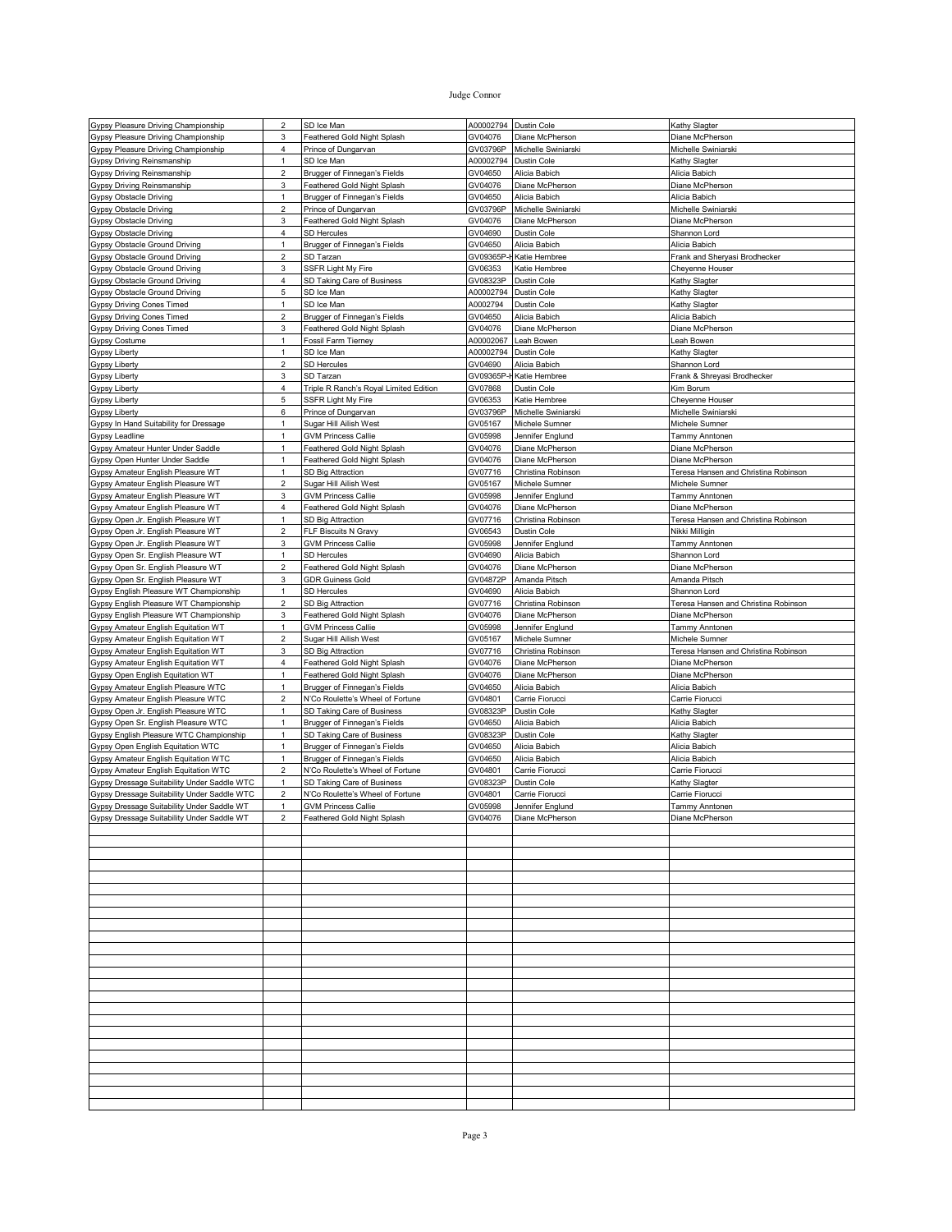| Gypsy Pleasure Driving Championship         | $\overline{2}$          | SD Ice Man                             | A00002794  | Dustin Cole         | Kathy Slagter                        |
|---------------------------------------------|-------------------------|----------------------------------------|------------|---------------------|--------------------------------------|
| Gypsy Pleasure Driving Championship         | 3                       | Feathered Gold Night Splash            | GV04076    | Diane McPherson     | Diane McPherson                      |
| Gypsy Pleasure Driving Championship         | 4                       | Prince of Dungarvan                    | GV03796P   | Michelle Swiniarski | Michelle Swiniarski                  |
| Gypsy Driving Reinsmanship                  | $\mathbf{1}$            | SD Ice Man                             | A00002794  | Dustin Cole         | Kathy Slagter                        |
|                                             |                         |                                        |            |                     |                                      |
| Gypsy Driving Reinsmanship                  | $\overline{\mathbf{c}}$ | Brugger of Finnegan's Fields           | GV04650    | Alicia Babich       | Alicia Babich                        |
| Gypsy Driving Reinsmanship                  | 3                       | Feathered Gold Night Splash            | GV04076    | Diane McPherson     | Diane McPherson                      |
| Gypsy Obstacle Driving                      | 1                       | Brugger of Finnegan's Fields           | GV04650    | Alicia Babich       | Alicia Babich                        |
| <b>Gypsy Obstacle Driving</b>               | $\overline{2}$          | Prince of Dungarvan                    | GV03796P   | Michelle Swiniarski | Michelle Swiniarski                  |
| Gypsy Obstacle Driving                      | 3                       | Feathered Gold Night Splash            | GV04076    | Diane McPherson     | Diane McPherson                      |
| Gypsy Obstacle Driving                      | 4                       | <b>SD Hercules</b>                     | GV04690    | Dustin Cole         | Shannon Lord                         |
|                                             | $\mathbf{1}$            |                                        |            |                     |                                      |
| Gypsy Obstacle Ground Driving               |                         | Brugger of Finnegan's Fields           | GV04650    | Alicia Babich       | Alicia Babich                        |
| Gypsy Obstacle Ground Driving               | $\overline{2}$          | SD Tarzan                              | GV09365P-ł | Katie Hembree       | Frank and Sheryasi Brodhecker        |
| <b>Gypsy Obstacle Ground Driving</b>        | 3                       | <b>SSFR Light My Fire</b>              | GV06353    | Katie Hembree       | Cheyenne Houser                      |
| Gypsy Obstacle Ground Driving               | 4                       | SD Taking Care of Business             | GV08323P   | Dustin Cole         | Kathy Slagter                        |
| Gypsy Obstacle Ground Driving               | 5                       | SD Ice Man                             | A00002794  | Dustin Cole         | Kathy Slagter                        |
| Gypsy Driving Cones Timed                   | $\mathbf{1}$            | SD Ice Man                             | A0002794   | Dustin Cole         | Kathy Slagter                        |
|                                             |                         |                                        |            |                     |                                      |
| Gypsy Driving Cones Timed                   | $\overline{\mathbf{c}}$ | Brugger of Finnegan's Fields           | GV04650    | Alicia Babich       | Alicia Babich                        |
| <b>Gypsy Driving Cones Timed</b>            | 3                       | Feathered Gold Night Splash            | GV04076    | Diane McPherson     | Diane McPherson                      |
| Gypsy Costume                               | $\mathbf{1}$            | Fossil Farm Tierney                    | A00002067  | Leah Bowen          | Leah Bowen                           |
| Gypsy Liberty                               | $\mathbf{1}$            | SD Ice Man                             | A00002794  | Dustin Cole         | <b>Kathy Slagter</b>                 |
| Gypsy Liberty                               | 2                       | <b>SD Hercules</b>                     | GV04690    | Alicia Babich       | Shannon Lord                         |
|                                             | 3                       |                                        |            |                     |                                      |
| Gypsy Liberty                               |                         | SD Tarzan                              | GV09365P   | Katie Hembree       | Frank & Shreyasi Brodhecker          |
| Gypsy Liberty                               | 4                       | Triple R Ranch's Royal Limited Edition | GV07868    | Dustin Cole         | Kim Borum                            |
| <b>Gypsy Liberty</b>                        | 5                       | SSFR Light My Fire                     | GV06353    | Katie Hembree       | Cheyenne Houser                      |
| Gypsy Liberty                               | 6                       | Prince of Dungarvan                    | GV03796P   | Michelle Swiniarski | Michelle Swiniarski                  |
| Gypsy In Hand Suitability for Dressage      | $\mathbf{1}$            | Sugar Hill Ailish West                 | GV05167    | Michele Sumner      | Michele Sumner                       |
| Gypsy Leadline                              | $\mathbf{1}$            | <b>GVM Princess Callie</b>             | GV05998    | Jennifer Englund    | Tammy Anntonen                       |
|                                             |                         |                                        |            |                     |                                      |
| Gypsy Amateur Hunter Under Saddle           | 1                       | Feathered Gold Night Splash            | GV04076    | Diane McPherson     | Diane McPherson                      |
| Gypsy Open Hunter Under Saddle              | $\mathbf{1}$            | Feathered Gold Night Splash            | GV04076    | Diane McPherson     | Diane McPherson                      |
| Gypsy Amateur English Pleasure WT           | 1                       | SD Big Attraction                      | GV07716    | Christina Robinson  | Teresa Hansen and Christina Robinson |
| Gypsy Amateur English Pleasure WT           | $\overline{\mathbf{c}}$ | Sugar Hill Ailish West                 | GV05167    | Michele Sumner      | Michele Sumner                       |
| Gypsy Amateur English Pleasure WT           | 3                       | <b>GVM Princess Callie</b>             | GV05998    | Jennifer Englund    | Tammy Anntonen                       |
|                                             |                         |                                        |            |                     |                                      |
| Gypsy Amateur English Pleasure WT           | 4                       | Feathered Gold Night Splash            | GV04076    | Diane McPherson     | Diane McPherson                      |
| Gypsy Open Jr. English Pleasure WT          | 1                       | SD Big Attraction                      | GV07716    | Christina Robinson  | Teresa Hansen and Christina Robinson |
| Gypsy Open Jr. English Pleasure WT          | $\overline{\mathbf{c}}$ | FLF Biscuits N Gravy                   | GV06543    | Dustin Cole         | Nikki Milligin                       |
| Gypsy Open Jr. English Pleasure WT          | 3                       | <b>GVM Princess Callie</b>             | GV05998    | Jennifer Englund    | Tammy Anntonen                       |
| Gypsy Open Sr. English Pleasure WT          | $\mathbf{1}$            | <b>SD Hercules</b>                     | GV04690    | Alicia Babich       | Shannon Lord                         |
|                                             |                         |                                        |            |                     |                                      |
| Gypsy Open Sr. English Pleasure WT          | $\overline{\mathbf{c}}$ | Feathered Gold Night Splash            | GV04076    | Diane McPherson     | Diane McPherson                      |
| Gypsy Open Sr. English Pleasure WT          | 3                       | <b>GDR Guiness Gold</b>                | GV04872P   | Amanda Pitsch       | Amanda Pitsch                        |
| Gypsy English Pleasure WT Championship      | $\mathbf{1}$            | <b>SD Hercules</b>                     | GV04690    | Alicia Babich       | Shannon Lord                         |
| Gypsy English Pleasure WT Championship      | 2                       | SD Big Attraction                      | GV07716    | Christina Robinson  | Teresa Hansen and Christina Robinson |
| Gypsy English Pleasure WT Championship      | 3                       | Feathered Gold Night Splash            | GV04076    | Diane McPherson     | Diane McPherson                      |
|                                             |                         |                                        |            |                     |                                      |
| Gypsy Amateur English Equitation WT         | $\mathbf{1}$            | <b>GVM Princess Callie</b>             | GV05998    | Jennifer Englund    | Tammy Anntonen                       |
| Gypsy Amateur English Equitation WT         | $\overline{\mathbf{c}}$ | Sugar Hill Ailish West                 | GV05167    | Michele Sumner      | Michele Sumner                       |
| Gypsy Amateur English Equitation WT         | 3                       | SD Big Attraction                      | GV07716    | Christina Robinson  | Teresa Hansen and Christina Robinson |
| Gypsy Amateur English Equitation WT         | 4                       | Feathered Gold Night Splash            | GV04076    | Diane McPherson     | Diane McPherson                      |
| Gypsy Open English Equitation WT            | $\mathbf{1}$            | Feathered Gold Night Splash            | GV04076    | Diane McPherson     | Diane McPherson                      |
|                                             | 1                       |                                        |            |                     |                                      |
| Gypsy Amateur English Pleasure WTC          |                         | Brugger of Finnegan's Fields           | GV04650    | Alicia Babich       | Alicia Babich                        |
| Gypsy Amateur English Pleasure WTC          | $\overline{\mathbf{c}}$ | N'Co Roulette's Wheel of Fortune       | GV04801    | Carrie Fiorucci     | Carrie Fiorucci                      |
| Gypsy Open Jr. English Pleasure WTC         | $\mathbf{1}$            | SD Taking Care of Business             | GV08323P   | Dustin Cole         | Kathy Slagter                        |
| Gypsy Open Sr. English Pleasure WTC         | $\mathbf{1}$            | <b>Brugger of Finnegan's Fields</b>    | GV04650    | Alicia Babich       | Alicia Babich                        |
| Gypsy English Pleasure WTC Championship     | $\mathbf{1}$            | SD Taking Care of Business             | GV08323P   | Dustin Cole         | Kathy Slagter                        |
|                                             |                         |                                        |            |                     |                                      |
| Gypsy Open English Equitation WTC           | 1                       | Brugger of Finnegan's Fields           | GV04650    | Alicia Babich       | Alicia Babich                        |
| Gypsy Amateur English Equitation WTC        | $\mathbf{1}$            | Brugger of Finnegan's Fields           | GV04650    | Alicia Babich       | Alicia Babich                        |
| Gypsy Amateur English Equitation WTC        | 2                       | N'Co Roulette's Wheel of Fortune       | GV04801    | Carrie Fiorucci     | Carrie Fiorucci                      |
| Gypsy Dressage Suitability Under Saddle WTC | 1                       | SD Taking Care of Business             | GV08323P   | Dustin Cole         | Kathy Slagter                        |
| Gypsy Dressage Suitability Under Saddle WTC | 2                       | N'Co Roulette's Wheel of Fortune       | GV04801    | Carrie Fiorucci     | Carrie Fiorucci                      |
| Gypsy Dressage Suitability Under Saddle WT  | 1                       | <b>GVM Princess Callie</b>             | GV05998    | Jennifer Englund    | Tammy Anntonen                       |
|                                             |                         |                                        |            |                     |                                      |
| Gypsy Dressage Suitability Under Saddle WT  | $\overline{2}$          | Feathered Gold Night Splash            | GV04076    | Diane McPherson     | Diane McPherson                      |
|                                             |                         |                                        |            |                     |                                      |
|                                             |                         |                                        |            |                     |                                      |
|                                             |                         |                                        |            |                     |                                      |
|                                             |                         |                                        |            |                     |                                      |
|                                             |                         |                                        |            |                     |                                      |
|                                             |                         |                                        |            |                     |                                      |
|                                             |                         |                                        |            |                     |                                      |
|                                             |                         |                                        |            |                     |                                      |
|                                             |                         |                                        |            |                     |                                      |
|                                             |                         |                                        |            |                     |                                      |
|                                             |                         |                                        |            |                     |                                      |
|                                             |                         |                                        |            |                     |                                      |
|                                             |                         |                                        |            |                     |                                      |
|                                             |                         |                                        |            |                     |                                      |
|                                             |                         |                                        |            |                     |                                      |
|                                             |                         |                                        |            |                     |                                      |
|                                             |                         |                                        |            |                     |                                      |
|                                             |                         |                                        |            |                     |                                      |
|                                             |                         |                                        |            |                     |                                      |
|                                             |                         |                                        |            |                     |                                      |
|                                             |                         |                                        |            |                     |                                      |
|                                             |                         |                                        |            |                     |                                      |
|                                             |                         |                                        |            |                     |                                      |
|                                             |                         |                                        |            |                     |                                      |
|                                             |                         |                                        |            |                     |                                      |
|                                             |                         |                                        |            |                     |                                      |
|                                             |                         |                                        |            |                     |                                      |
|                                             |                         |                                        |            |                     |                                      |